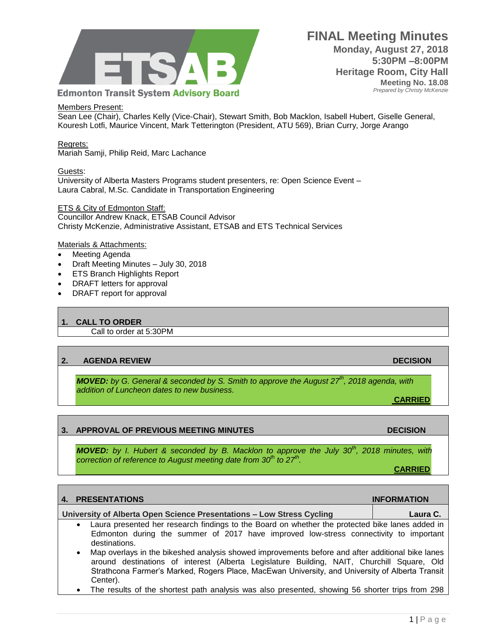

**FINAL Meeting Minutes Monday, August 27, 2018 5:30PM –8:00PM Heritage Room, City Hall Meeting No. 18.08**  *Prepared by Christy McKenzie*

Members Present:

Sean Lee (Chair), Charles Kelly (Vice-Chair), Stewart Smith, Bob Macklon, Isabell Hubert, Giselle General, Kouresh Lotfi, Maurice Vincent, Mark Tetterington (President, ATU 569), Brian Curry, Jorge Arango

Regrets: Mariah Samji, Philip Reid, Marc Lachance

Guests:

University of Alberta Masters Programs student presenters, re: Open Science Event – Laura Cabral, M.Sc. Candidate in Transportation Engineering

ETS & City of Edmonton Staff:

Councillor Andrew Knack, ETSAB Council Advisor Christy McKenzie, Administrative Assistant, ETSAB and ETS Technical Services

Materials & Attachments:

- Meeting Agenda
- Draft Meeting Minutes July 30, 2018
- ETS Branch Highlights Report
- DRAFT letters for approval
- DRAFT report for approval

### **1. CALL TO ORDER**

Call to order at 5:30PM

### **2. AGENDA REVIEW DECISION**

Center).

*MOVED: by G. General & seconded by S. Smith to approve the August 27th, 2018 agenda, with addition of Luncheon dates to new business.*

**CARRIED**

### **3. APPROVAL OF PREVIOUS MEETING MINUTES DECISION**

*MOVED: by I. Hubert & seconded by B. Macklon to approve the July 30th , 2018 minutes, with correction of reference to August meeting date from 30th to 27th .*

**CARRIED**

| 4. PRESENTATIONS                                                                                                                                                                                                                                                                                               | <b>INFORMATION</b> |
|----------------------------------------------------------------------------------------------------------------------------------------------------------------------------------------------------------------------------------------------------------------------------------------------------------------|--------------------|
| University of Alberta Open Science Presentations - Low Stress Cycling                                                                                                                                                                                                                                          | Laura C.           |
| Laura presented her research findings to the Board on whether the protected bike lanes added in<br>$\bullet$<br>Edmonton during the summer of 2017 have improved low-stress connectivity to important<br>destinations.                                                                                         |                    |
| Map overlays in the bikeshed analysis showed improvements before and after additional bike lanes<br>$\bullet$<br>around destinations of interest (Alberta Legislature Building, NAIT, Churchill Square, Old<br>Strathcona Farmer's Marked, Rogers Place, MacEwan University, and University of Alberta Transit |                    |

The results of the shortest path analysis was also presented, showing 56 shorter trips from 298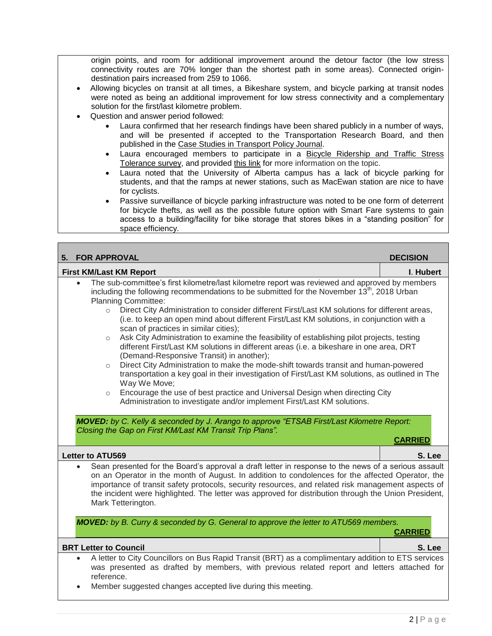origin points, and room for additional improvement around the detour factor (the low stress connectivity routes are 70% longer than the shortest path in some areas). Connected origindestination pairs increased from 259 to 1066.

- Allowing bicycles on transit at all times, a Bikeshare system, and bicycle parking at transit nodes were noted as being an additional improvement for low stress connectivity and a complementary solution for the first/last kilometre problem.
- Question and answer period followed:
	- Laura confirmed that her research findings have been shared publicly in a number of ways, and will be presented if accepted to the Transportation Research Board, and then published in the [Case Studies in Transport Policy Journal.](https://www.sciencedirect.com/journal/case-studies-on-transport-policy)
	- Laura encouraged members to participate in a [Bicycle Ridership and Traffic Stress](https://www.edmontoninsightcommunity.ca/c/a/5rJHaGEb5SRERVR954vU2Y)  [Tolerance survey,](https://www.edmontoninsightcommunity.ca/c/a/5rJHaGEb5SRERVR954vU2Y) and provided [this link](https://transweb.sjsu.edu/sites/default/files/1005-low-stress-bicycling-network-connectivity.pdf) for more information on the topic.
	- Laura noted that the University of Alberta campus has a lack of bicycle parking for students, and that the ramps at newer stations, such as MacEwan station are nice to have for cyclists.
	- Passive surveillance of bicycle parking infrastructure was noted to be one form of deterrent for bicycle thefts, as well as the possible future option with Smart Fare systems to gain access to a building/facility for bike storage that stores bikes in a "standing position" for space efficiency.

| <b>FOR APPROVAL</b><br>5.                                                                                                                                                                                                                                                                                                                                                                                                                                                                                                                                                                                                                                                                                                                                                                                                                                                                                                                                                                                                                                                                                                                                                                                                                                                                   | <b>DECISION</b> |  |
|---------------------------------------------------------------------------------------------------------------------------------------------------------------------------------------------------------------------------------------------------------------------------------------------------------------------------------------------------------------------------------------------------------------------------------------------------------------------------------------------------------------------------------------------------------------------------------------------------------------------------------------------------------------------------------------------------------------------------------------------------------------------------------------------------------------------------------------------------------------------------------------------------------------------------------------------------------------------------------------------------------------------------------------------------------------------------------------------------------------------------------------------------------------------------------------------------------------------------------------------------------------------------------------------|-----------------|--|
| <b>First KM/Last KM Report</b>                                                                                                                                                                                                                                                                                                                                                                                                                                                                                                                                                                                                                                                                                                                                                                                                                                                                                                                                                                                                                                                                                                                                                                                                                                                              | I. Hubert       |  |
| The sub-committee's first kilometre/last kilometre report was reviewed and approved by members<br>including the following recommendations to be submitted for the November 13 <sup>th</sup> , 2018 Urban<br><b>Planning Committee:</b><br>Direct City Administration to consider different First/Last KM solutions for different areas,<br>$\circ$<br>(i.e. to keep an open mind about different First/Last KM solutions, in conjunction with a<br>scan of practices in similar cities);<br>Ask City Administration to examine the feasibility of establishing pilot projects, testing<br>$\circ$<br>different First/Last KM solutions in different areas (i.e. a bikeshare in one area, DRT<br>(Demand-Responsive Transit) in another);<br>Direct City Administration to make the mode-shift towards transit and human-powered<br>$\circ$<br>transportation a key goal in their investigation of First/Last KM solutions, as outlined in The<br>Way We Move;<br>Encourage the use of best practice and Universal Design when directing City<br>$\circ$<br>Administration to investigate and/or implement First/Last KM solutions.<br>MOVED: by C. Kelly & seconded by J. Arango to approve "ETSAB First/Last Kilometre Report:<br>Closing the Gap on First KM/Last KM Transit Trip Plans". | <b>CARRIED</b>  |  |
| <b>Letter to ATU569</b>                                                                                                                                                                                                                                                                                                                                                                                                                                                                                                                                                                                                                                                                                                                                                                                                                                                                                                                                                                                                                                                                                                                                                                                                                                                                     | S. Lee          |  |
| Sean presented for the Board's approval a draft letter in response to the news of a serious assault<br>$\bullet$<br>on an Operator in the month of August. In addition to condolences for the affected Operator, the<br>importance of transit safety protocols, security resources, and related risk management aspects of<br>the incident were highlighted. The letter was approved for distribution through the Union President,<br>Mark Tetterington.                                                                                                                                                                                                                                                                                                                                                                                                                                                                                                                                                                                                                                                                                                                                                                                                                                    |                 |  |
| <b>MOVED:</b> by B. Curry & seconded by G. General to approve the letter to ATU569 members.<br><b>CARRIED</b>                                                                                                                                                                                                                                                                                                                                                                                                                                                                                                                                                                                                                                                                                                                                                                                                                                                                                                                                                                                                                                                                                                                                                                               |                 |  |
| <b>BRT Letter to Council</b>                                                                                                                                                                                                                                                                                                                                                                                                                                                                                                                                                                                                                                                                                                                                                                                                                                                                                                                                                                                                                                                                                                                                                                                                                                                                | S. Lee          |  |
| A letter to City Councillors on Bus Rapid Transit (BRT) as a complimentary addition to ETS services<br>was presented as drafted by members, with previous related report and letters attached for<br>reference.                                                                                                                                                                                                                                                                                                                                                                                                                                                                                                                                                                                                                                                                                                                                                                                                                                                                                                                                                                                                                                                                             |                 |  |

Member suggested changes accepted live during this meeting.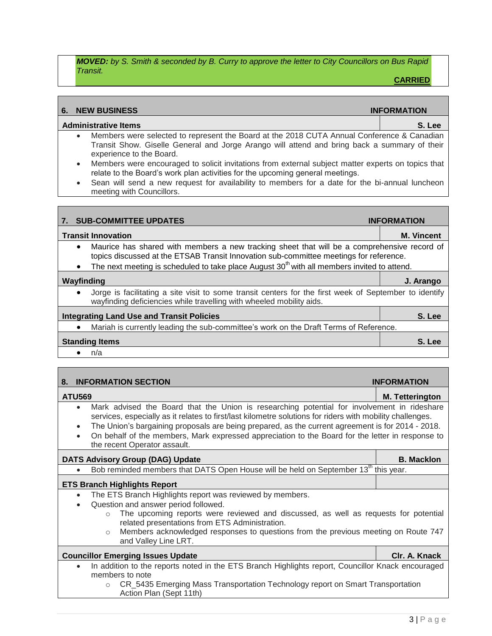*MOVED: by S. Smith & seconded by B. Curry to approve the letter to City Councillors on Bus Rapid Transit.*

**CARRIED**

# **6. NEW BUSINESS INFORMATION Administrative Items S. Lee** Members were selected to represent the Board at the 2018 CUTA Annual Conference & Canadian Transit Show. Giselle General and Jorge Arango will attend and bring back a summary of their experience to the Board. Members were encouraged to solicit invitations from external subject matter experts on topics that relate to the Board's work plan activities for the upcoming general meetings. Sean will send a new request for availability to members for a date for the bi-annual luncheon meeting with Councillors. **7. SUB-COMMITTEE UPDATES INFORMATION Transit Innovation M. Vincent** Maurice has shared with members a new tracking sheet that will be a comprehensive record of topics discussed at the ETSAB Transit Innovation sub-committee meetings for reference. • The next meeting is scheduled to take place August  $30<sup>th</sup>$  with all members invited to attend. **Wayfinding J. Arango**

 Jorge is facilitating a site visit to some transit centers for the first week of September to identify wayfinding deficiencies while travelling with wheeled mobility aids.

| <b>Integrating Land Use and Transit Policies</b>                                      | S. Lee |
|---------------------------------------------------------------------------------------|--------|
| Mariah is currently leading the sub-committee's work on the Draft Terms of Reference. |        |
| <b>Standing Items</b>                                                                 | S. Lee |
| n/a                                                                                   |        |

| <b>INFORMATION SECTION</b><br>8.                                                                                                                                                                                                                                                                                                                                                                                                                                                         | <b>INFORMATION</b>     |  |
|------------------------------------------------------------------------------------------------------------------------------------------------------------------------------------------------------------------------------------------------------------------------------------------------------------------------------------------------------------------------------------------------------------------------------------------------------------------------------------------|------------------------|--|
| <b>ATU569</b>                                                                                                                                                                                                                                                                                                                                                                                                                                                                            | <b>M. Tetterington</b> |  |
| Mark advised the Board that the Union is researching potential for involvement in rideshare<br>$\bullet$<br>services, especially as it relates to first/last kilometre solutions for riders with mobility challenges.<br>The Union's bargaining proposals are being prepared, as the current agreement is for 2014 - 2018.<br>$\bullet$<br>On behalf of the members, Mark expressed appreciation to the Board for the letter in response to<br>$\bullet$<br>the recent Operator assault. |                        |  |
| <b>DATS Advisory Group (DAG) Update</b>                                                                                                                                                                                                                                                                                                                                                                                                                                                  | <b>B. Macklon</b>      |  |
| Bob reminded members that DATS Open House will be held on September 13 <sup>th</sup> this year.                                                                                                                                                                                                                                                                                                                                                                                          |                        |  |
| <b>ETS Branch Highlights Report</b>                                                                                                                                                                                                                                                                                                                                                                                                                                                      |                        |  |
| The ETS Branch Highlights report was reviewed by members.<br>$\bullet$<br>Question and answer period followed.<br>$\bullet$<br>The upcoming reports were reviewed and discussed, as well as requests for potential<br>$\Omega$<br>related presentations from ETS Administration.<br>Members acknowledged responses to questions from the previous meeting on Route 747<br>$\circ$<br>and Valley Line LRT.                                                                                |                        |  |
| <b>Councillor Emerging Issues Update</b>                                                                                                                                                                                                                                                                                                                                                                                                                                                 | Clr. A. Knack          |  |
| In addition to the reports noted in the ETS Branch Highlights report, Councillor Knack encouraged<br>$\bullet$<br>members to note<br>CR_5435 Emerging Mass Transportation Technology report on Smart Transportation<br>Action Plan (Sept 11th)                                                                                                                                                                                                                                           |                        |  |